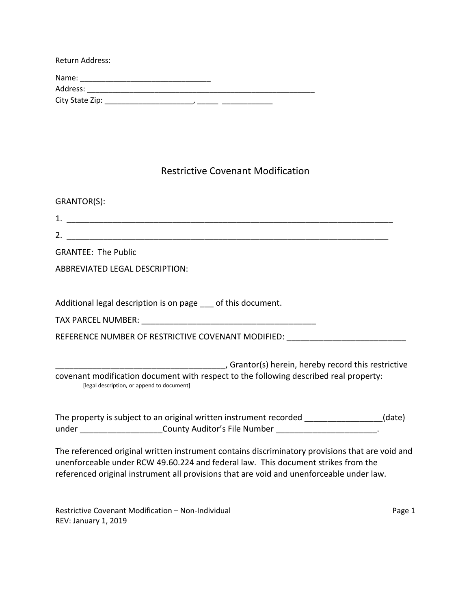| Return Address: |  |
|-----------------|--|
| Name:           |  |
| Address:        |  |
| City State Zip: |  |

## Restrictive Covenant Modification

| GRANTOR(S):                                                                                                                                                                                                                                                                      |
|----------------------------------------------------------------------------------------------------------------------------------------------------------------------------------------------------------------------------------------------------------------------------------|
|                                                                                                                                                                                                                                                                                  |
|                                                                                                                                                                                                                                                                                  |
| <b>GRANTEE: The Public</b>                                                                                                                                                                                                                                                       |
| <b>ABBREVIATED LEGAL DESCRIPTION:</b>                                                                                                                                                                                                                                            |
| Additional legal description is on page __ of this document.                                                                                                                                                                                                                     |
|                                                                                                                                                                                                                                                                                  |
| REFERENCE NUMBER OF RESTRICTIVE COVENANT MODIFIED: _____________________________                                                                                                                                                                                                 |
| Grantor(s) herein, hereby record this restrictive (5) error of the strictive<br>covenant modification document with respect to the following described real property:<br>[legal description, or append to document]                                                              |
| The property is subject to an original written instrument recorded _______________(date)<br>under _____________________County Auditor's File Number ________________________                                                                                                     |
| The referenced original written instrument contains discriminatory provisions that are void and<br>unenforceable under RCW 49.60.224 and federal law. This document strikes from the<br>referenced original instrument all provisions that are void and unenforceable under law. |

Restrictive Covenant Modification – Non-Individual **Page 1** and Page 1 REV: January 1, 2019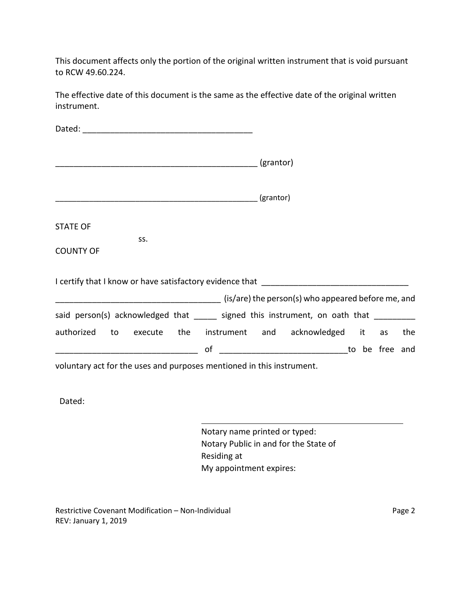This document affects only the portion of the original written instrument that is void pursuant to RCW 49.60.224.

The effective date of this document is the same as the effective date of the original written instrument.

| <b>STATE OF</b>                                                                                                            |    |  |  |     |
|----------------------------------------------------------------------------------------------------------------------------|----|--|--|-----|
| SS.<br><b>COUNTY OF</b>                                                                                                    |    |  |  |     |
|                                                                                                                            |    |  |  |     |
| (is/are) the person(s) who appeared before me, and increase the same of stars in the person(s) who appeared before me, and |    |  |  |     |
| said person(s) acknowledged that _____ signed this instrument, on oath that _________                                      |    |  |  |     |
| authorized to execute the instrument and acknowledged it as                                                                |    |  |  | the |
|                                                                                                                            | of |  |  |     |
| voluntary act for the uses and purposes mentioned in this instrument.                                                      |    |  |  |     |
|                                                                                                                            |    |  |  |     |
|                                                                                                                            |    |  |  |     |

Dated:

Notary name printed or typed: Notary Public in and for the State of Residing at My appointment expires:

Restrictive Covenant Modification – Non-Individual **Page 2** Page 2 REV: January 1, 2019